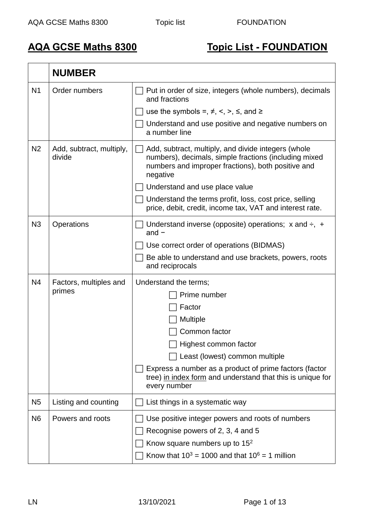## **AQA GCSE Maths 8300 Topic List - FOUNDATION**

|                | <b>NUMBER</b>                      |                                                                                                                                                                                                                                                                                                                                        |
|----------------|------------------------------------|----------------------------------------------------------------------------------------------------------------------------------------------------------------------------------------------------------------------------------------------------------------------------------------------------------------------------------------|
| N <sub>1</sub> | Order numbers                      | Put in order of size, integers (whole numbers), decimals<br>and fractions<br>use the symbols =, $\neq$ , <, >, $\leq$ , and $\geq$<br>Understand and use positive and negative numbers on<br>a number line                                                                                                                             |
| N <sub>2</sub> | Add, subtract, multiply,<br>divide | Add, subtract, multiply, and divide integers (whole<br>numbers), decimals, simple fractions (including mixed<br>numbers and improper fractions), both positive and<br>negative<br>Understand and use place value<br>Understand the terms profit, loss, cost price, selling<br>price, debit, credit, income tax, VAT and interest rate. |
| N3             | Operations                         | Understand inverse (opposite) operations; $x$ and $\div$ , $+$<br>and $-$<br>Use correct order of operations (BIDMAS)<br>Be able to understand and use brackets, powers, roots<br>and reciprocals                                                                                                                                      |
| N <sub>4</sub> | Factors, multiples and<br>primes   | Understand the terms;<br>Prime number<br>Factor<br><b>Multiple</b><br>Common factor<br>$\Box$ Highest common factor<br>Least (lowest) common multiple<br>Express a number as a product of prime factors (factor<br>tree) in index form and understand that this is unique for<br>every number                                          |
| N <sub>5</sub> | Listing and counting               | List things in a systematic way                                                                                                                                                                                                                                                                                                        |
| N <sub>6</sub> | Powers and roots                   | Use positive integer powers and roots of numbers<br>Recognise powers of 2, 3, 4 and 5<br>Know square numbers up to $152$<br>Know that $10^3$ = 1000 and that $10^6$ = 1 million                                                                                                                                                        |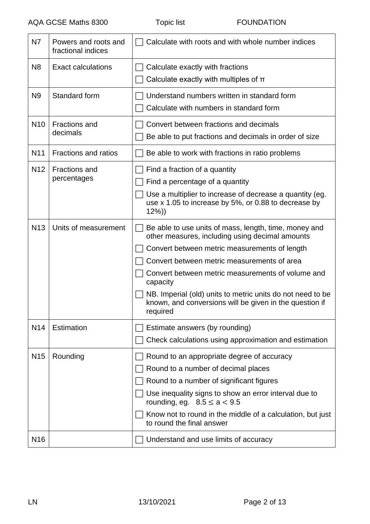| <b>N7</b>       | Powers and roots and<br>fractional indices | Calculate with roots and with whole number indices                                                                                                                                                                                                                                                                                                                                                             |
|-----------------|--------------------------------------------|----------------------------------------------------------------------------------------------------------------------------------------------------------------------------------------------------------------------------------------------------------------------------------------------------------------------------------------------------------------------------------------------------------------|
| N <sub>8</sub>  | <b>Exact calculations</b>                  | Calculate exactly with fractions<br>Calculate exactly with multiples of $\pi$                                                                                                                                                                                                                                                                                                                                  |
| N <sub>9</sub>  | Standard form                              | Understand numbers written in standard form<br>Calculate with numbers in standard form                                                                                                                                                                                                                                                                                                                         |
| N <sub>10</sub> | <b>Fractions and</b><br>decimals           | Convert between fractions and decimals<br>Be able to put fractions and decimals in order of size                                                                                                                                                                                                                                                                                                               |
| N <sub>11</sub> | <b>Fractions and ratios</b>                | Be able to work with fractions in ratio problems                                                                                                                                                                                                                                                                                                                                                               |
| N <sub>12</sub> | <b>Fractions and</b><br>percentages        | Find a fraction of a quantity<br>Find a percentage of a quantity<br>Use a multiplier to increase of decrease a quantity (eg.<br>use x 1.05 to increase by 5%, or 0.88 to decrease by<br>$12\%)$                                                                                                                                                                                                                |
| N <sub>13</sub> | Units of measurement                       | Be able to use units of mass, length, time, money and<br>other measures, including using decimal amounts<br>Convert between metric measurements of length<br>Convert between metric measurements of area<br>Convert between metric measurements of volume and<br>capacity<br>NB. Imperial (old) units to metric units do not need to be<br>known, and conversions will be given in the question if<br>required |
| N <sub>14</sub> | Estimation                                 | Estimate answers (by rounding)<br>Check calculations using approximation and estimation                                                                                                                                                                                                                                                                                                                        |
| <b>N15</b>      | Rounding                                   | Round to an appropriate degree of accuracy<br>Round to a number of decimal places<br>Round to a number of significant figures<br>Use inequality signs to show an error interval due to<br>rounding, eg. $8.5 \le a < 9.5$<br>Know not to round in the middle of a calculation, but just<br>to round the final answer                                                                                           |
| N <sub>16</sub> |                                            | Understand and use limits of accuracy                                                                                                                                                                                                                                                                                                                                                                          |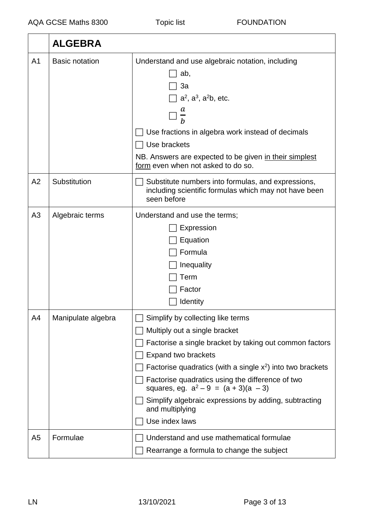|                | <b>ALGEBRA</b>        |                                                                                                                                                                                                                                                                                                                                                                                                                           |
|----------------|-----------------------|---------------------------------------------------------------------------------------------------------------------------------------------------------------------------------------------------------------------------------------------------------------------------------------------------------------------------------------------------------------------------------------------------------------------------|
| A <sub>1</sub> | <b>Basic notation</b> | Understand and use algebraic notation, including<br>ab,<br>3a<br>$\exists$ a <sup>2</sup> , a <sup>3</sup> , a <sup>2</sup> b, etc.<br>a<br>Use fractions in algebra work instead of decimals<br>Use brackets<br>NB. Answers are expected to be given in their simplest<br>form even when not asked to do so.                                                                                                             |
| A <sub>2</sub> | Substitution          | Substitute numbers into formulas, and expressions,<br>including scientific formulas which may not have been<br>seen before                                                                                                                                                                                                                                                                                                |
| A <sub>3</sub> | Algebraic terms       | Understand and use the terms;<br>Expression<br>Equation<br>Formula<br>Inequality<br>Term<br>Factor<br>Identity                                                                                                                                                                                                                                                                                                            |
| A4             | Manipulate algebra    | Simplify by collecting like terms<br>Multiply out a single bracket<br>Factorise a single bracket by taking out common factors<br><b>Expand two brackets</b><br>Factorise quadratics (with a single $x^2$ ) into two brackets<br>Factorise quadratics using the difference of two<br>squares, eg. $a^2 - 9 = (a + 3)(a - 3)$<br>Simplify algebraic expressions by adding, subtracting<br>and multiplying<br>Use index laws |
| A <sub>5</sub> | Formulae              | Understand and use mathematical formulae<br>Rearrange a formula to change the subject                                                                                                                                                                                                                                                                                                                                     |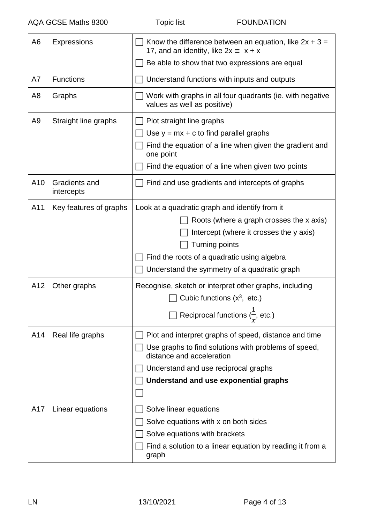| A <sub>6</sub> | <b>Expressions</b>          | Know the difference between an equation, like $2x + 3 =$<br>17, and an identity, like $2x \equiv x + x$                                                                                                                     |
|----------------|-----------------------------|-----------------------------------------------------------------------------------------------------------------------------------------------------------------------------------------------------------------------------|
|                |                             | Be able to show that two expressions are equal                                                                                                                                                                              |
| A7             | <b>Functions</b>            | Understand functions with inputs and outputs                                                                                                                                                                                |
| A <sub>8</sub> | Graphs                      | Work with graphs in all four quadrants (ie. with negative<br>values as well as positive)                                                                                                                                    |
| A <sub>9</sub> | Straight line graphs        | Plot straight line graphs                                                                                                                                                                                                   |
|                |                             | Use $y = mx + c$ to find parallel graphs                                                                                                                                                                                    |
|                |                             | Find the equation of a line when given the gradient and<br>one point                                                                                                                                                        |
|                |                             | Find the equation of a line when given two points                                                                                                                                                                           |
| A10            | Gradients and<br>intercepts | Find and use gradients and intercepts of graphs                                                                                                                                                                             |
| A11            | Key features of graphs      | Look at a quadratic graph and identify from it<br>Roots (where a graph crosses the x axis)<br>Intercept (where it crosses the y axis)<br>Turning points                                                                     |
|                |                             | Find the roots of a quadratic using algebra<br>Understand the symmetry of a quadratic graph                                                                                                                                 |
| A12            | Other graphs                | Recognise, sketch or interpret other graphs, including<br>Cubic functions $(x^3, etc.)$<br>Reciprocal functions $(\frac{1}{r},$ etc.)                                                                                       |
| A14            | Real life graphs            | Plot and interpret graphs of speed, distance and time<br>Use graphs to find solutions with problems of speed,<br>distance and acceleration<br>Understand and use reciprocal graphs<br>Understand and use exponential graphs |
| A17            | Linear equations            | Solve linear equations<br>Solve equations with x on both sides<br>Solve equations with brackets<br>Find a solution to a linear equation by reading it from a                                                                |
|                |                             | graph                                                                                                                                                                                                                       |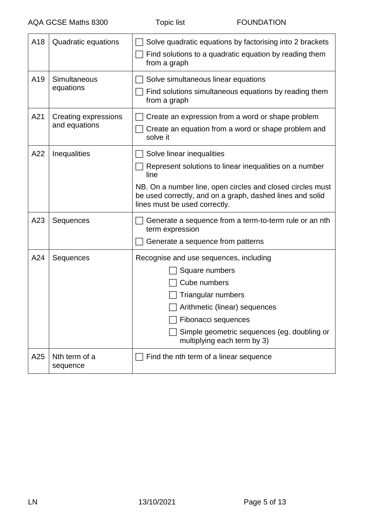| A18 | Quadratic equations                   | Solve quadratic equations by factorising into 2 brackets<br>Find solutions to a quadratic equation by reading them<br>from a graph                                                                                                                      |
|-----|---------------------------------------|---------------------------------------------------------------------------------------------------------------------------------------------------------------------------------------------------------------------------------------------------------|
| A19 | Simultaneous<br>equations             | Solve simultaneous linear equations<br>Find solutions simultaneous equations by reading them<br>from a graph                                                                                                                                            |
| A21 | Creating expressions<br>and equations | Create an expression from a word or shape problem<br>Create an equation from a word or shape problem and<br>solve it                                                                                                                                    |
| A22 | Inequalities                          | Solve linear inequalities<br>Represent solutions to linear inequalities on a number<br>line<br>NB. On a number line, open circles and closed circles must<br>be used correctly, and on a graph, dashed lines and solid<br>lines must be used correctly. |
| A23 | Sequences                             | Generate a sequence from a term-to-term rule or an nth<br>term expression<br>Generate a sequence from patterns                                                                                                                                          |
| A24 | Sequences                             | Recognise and use sequences, including<br>Square numbers<br>Cube numbers<br>Triangular numbers<br>Arithmetic (linear) sequences<br>Fibonacci sequences<br>Simple geometric sequences (eg. doubling or<br>multiplying each term by 3)                    |
| A25 | Nth term of a<br>sequence             | Find the nth term of a linear sequence                                                                                                                                                                                                                  |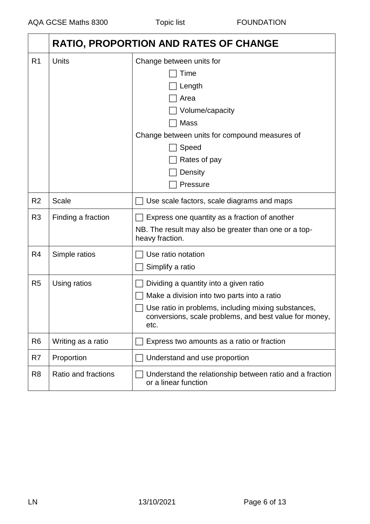|                | <b>RATIO, PROPORTION AND RATES OF CHANGE</b> |                                                                                                                                                                                                                |
|----------------|----------------------------------------------|----------------------------------------------------------------------------------------------------------------------------------------------------------------------------------------------------------------|
| R <sub>1</sub> | Units                                        | Change between units for<br>Time<br>Length<br>Area<br>Volume/capacity<br><b>Mass</b><br>Change between units for compound measures of<br>Speed<br>Rates of pay<br>Density<br>Pressure                          |
| R <sub>2</sub> | <b>Scale</b>                                 | Use scale factors, scale diagrams and maps                                                                                                                                                                     |
| R <sub>3</sub> | Finding a fraction                           | Express one quantity as a fraction of another<br>NB. The result may also be greater than one or a top-<br>heavy fraction.                                                                                      |
| R <sub>4</sub> | Simple ratios                                | Use ratio notation<br>Simplify a ratio                                                                                                                                                                         |
| R <sub>5</sub> | Using ratios                                 | Dividing a quantity into a given ratio<br>Make a division into two parts into a ratio<br>Use ratio in problems, including mixing substances,<br>conversions, scale problems, and best value for money,<br>etc. |
| R <sub>6</sub> | Writing as a ratio                           | Express two amounts as a ratio or fraction                                                                                                                                                                     |
| R7             | Proportion                                   | Understand and use proportion                                                                                                                                                                                  |
| R <sub>8</sub> | Ratio and fractions                          | Understand the relationship between ratio and a fraction<br>or a linear function                                                                                                                               |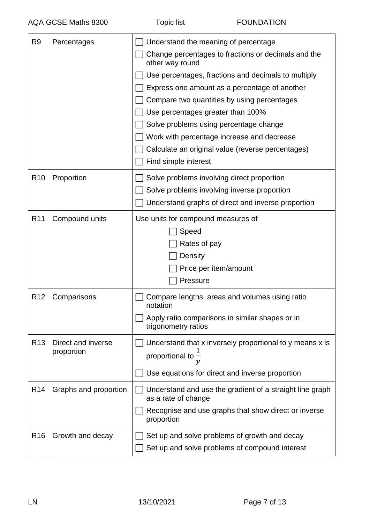| R <sub>9</sub>  | Percentages                      | Understand the meaning of percentage<br>Change percentages to fractions or decimals and the<br>other way round<br>Use percentages, fractions and decimals to multiply<br>Express one amount as a percentage of another<br>Compare two quantities by using percentages<br>Use percentages greater than 100%<br>Solve problems using percentage change<br>Work with percentage increase and decrease<br>Calculate an original value (reverse percentages)<br>Find simple interest |
|-----------------|----------------------------------|---------------------------------------------------------------------------------------------------------------------------------------------------------------------------------------------------------------------------------------------------------------------------------------------------------------------------------------------------------------------------------------------------------------------------------------------------------------------------------|
| R <sub>10</sub> | Proportion                       | Solve problems involving direct proportion<br>Solve problems involving inverse proportion<br>Understand graphs of direct and inverse proportion                                                                                                                                                                                                                                                                                                                                 |
| R <sub>11</sub> | Compound units                   | Use units for compound measures of<br>Speed<br>Rates of pay<br>Density<br>Price per item/amount<br>Pressure                                                                                                                                                                                                                                                                                                                                                                     |
| R <sub>12</sub> | Comparisons                      | Compare lengths, areas and volumes using ratio<br>notation<br>Apply ratio comparisons in similar shapes or in<br>trigonometry ratios                                                                                                                                                                                                                                                                                                                                            |
| R <sub>13</sub> | Direct and inverse<br>proportion | Understand that x inversely proportional to y means x is<br>proportional to $\bar{-}$<br>Use equations for direct and inverse proportion                                                                                                                                                                                                                                                                                                                                        |
| R <sub>14</sub> | Graphs and proportion            | Understand and use the gradient of a straight line graph<br>as a rate of change<br>Recognise and use graphs that show direct or inverse<br>proportion                                                                                                                                                                                                                                                                                                                           |
| R <sub>16</sub> | Growth and decay                 | Set up and solve problems of growth and decay<br>Set up and solve problems of compound interest                                                                                                                                                                                                                                                                                                                                                                                 |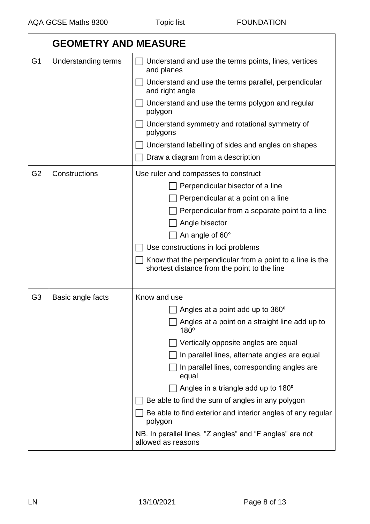|                | <b>GEOMETRY AND MEASURE</b> |                                                                                                           |
|----------------|-----------------------------|-----------------------------------------------------------------------------------------------------------|
| G <sub>1</sub> | <b>Understanding terms</b>  | Understand and use the terms points, lines, vertices<br>and planes                                        |
|                |                             | Understand and use the terms parallel, perpendicular<br>and right angle                                   |
|                |                             | Understand and use the terms polygon and regular<br>polygon                                               |
|                |                             | Understand symmetry and rotational symmetry of<br>polygons                                                |
|                |                             | Understand labelling of sides and angles on shapes                                                        |
|                |                             | Draw a diagram from a description                                                                         |
| G <sub>2</sub> | Constructions               | Use ruler and compasses to construct                                                                      |
|                |                             | Perpendicular bisector of a line                                                                          |
|                |                             | Perpendicular at a point on a line                                                                        |
|                |                             | Perpendicular from a separate point to a line                                                             |
|                |                             | Angle bisector                                                                                            |
|                |                             | An angle of 60°                                                                                           |
|                |                             | Use constructions in loci problems                                                                        |
|                |                             | Know that the perpendicular from a point to a line is the<br>shortest distance from the point to the line |
| G <sub>3</sub> | Basic angle facts           | Know and use                                                                                              |
|                |                             | Angles at a point add up to 360 <sup>°</sup>                                                              |
|                |                             | Angles at a point on a straight line add up to<br>$180^\circ$                                             |
|                |                             | Vertically opposite angles are equal                                                                      |
|                |                             | In parallel lines, alternate angles are equal                                                             |
|                |                             | In parallel lines, corresponding angles are<br>equal                                                      |
|                |                             | Angles in a triangle add up to 180 <sup>°</sup>                                                           |
|                |                             | Be able to find the sum of angles in any polygon                                                          |
|                |                             | Be able to find exterior and interior angles of any regular<br>polygon                                    |
|                |                             | NB. In parallel lines, "Z angles" and "F angles" are not<br>allowed as reasons                            |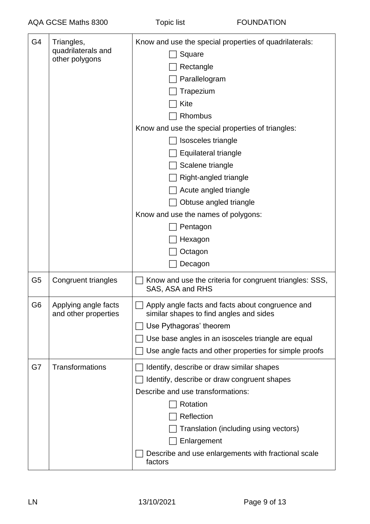| G4             | Triangles,<br>quadrilaterals and<br>other polygons | Know and use the special properties of quadrilaterals:<br>Square<br>Rectangle<br>Parallelogram<br>Trapezium<br>Kite<br>Rhombus<br>Know and use the special properties of triangles:<br>Isosceles triangle<br>Equilateral triangle<br>Scalene triangle<br>Right-angled triangle<br>Acute angled triangle<br>Obtuse angled triangle<br>Know and use the names of polygons:<br>Pentagon<br>Hexagon<br>Octagon<br>Decagon |
|----------------|----------------------------------------------------|-----------------------------------------------------------------------------------------------------------------------------------------------------------------------------------------------------------------------------------------------------------------------------------------------------------------------------------------------------------------------------------------------------------------------|
| G <sub>5</sub> | Congruent triangles                                | Know and use the criteria for congruent triangles: SSS,<br>SAS, ASA and RHS                                                                                                                                                                                                                                                                                                                                           |
| G <sub>6</sub> | Applying angle facts<br>and other properties       | Apply angle facts and facts about congruence and<br>similar shapes to find angles and sides<br>Use Pythagoras' theorem<br>Use base angles in an isosceles triangle are equal<br>Use angle facts and other properties for simple proofs                                                                                                                                                                                |
| G7             | Transformations                                    | Identify, describe or draw similar shapes<br>Identify, describe or draw congruent shapes<br>Describe and use transformations:<br>Rotation<br>Reflection<br>Translation (including using vectors)<br>Enlargement<br>Describe and use enlargements with fractional scale<br>factors                                                                                                                                     |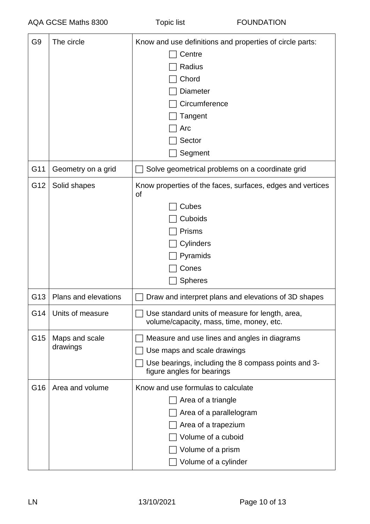| G <sub>9</sub>  | The circle                  | Know and use definitions and properties of circle parts:                                    |
|-----------------|-----------------------------|---------------------------------------------------------------------------------------------|
|                 |                             | Centre                                                                                      |
|                 |                             | Radius                                                                                      |
|                 |                             | Chord                                                                                       |
|                 |                             | <b>Diameter</b>                                                                             |
|                 |                             | Circumference                                                                               |
|                 |                             | Tangent                                                                                     |
|                 |                             | Arc                                                                                         |
|                 |                             | Sector                                                                                      |
|                 |                             | Segment                                                                                     |
| G11             | Geometry on a grid          | Solve geometrical problems on a coordinate grid                                             |
| G12             | Solid shapes                | Know properties of the faces, surfaces, edges and vertices<br><b>of</b>                     |
|                 |                             | Cubes                                                                                       |
|                 |                             | Cuboids                                                                                     |
|                 |                             | <b>Prisms</b>                                                                               |
|                 |                             | Cylinders                                                                                   |
|                 |                             | Pyramids                                                                                    |
|                 |                             | Cones                                                                                       |
|                 |                             | <b>Spheres</b>                                                                              |
| G <sub>13</sub> | <b>Plans and elevations</b> | Draw and interpret plans and elevations of 3D shapes                                        |
| G14             | Units of measure            | Use standard units of measure for length, area,<br>volume/capacity, mass, time, money, etc. |
| G15             | Maps and scale              | Measure and use lines and angles in diagrams                                                |
|                 | drawings                    | Use maps and scale drawings                                                                 |
|                 |                             | Use bearings, including the 8 compass points and 3-<br>figure angles for bearings           |
| G16             | Area and volume             | Know and use formulas to calculate                                                          |
|                 |                             | Area of a triangle                                                                          |
|                 |                             | Area of a parallelogram                                                                     |
|                 |                             | Area of a trapezium                                                                         |
|                 |                             | Volume of a cuboid                                                                          |
|                 |                             | Volume of a prism                                                                           |
|                 |                             | Volume of a cylinder                                                                        |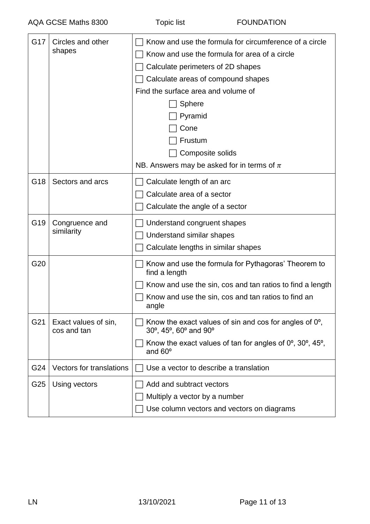| G17 | Circles and other<br>shapes         | Know and use the formula for circumference of a circle<br>Know and use the formula for area of a circle<br>Calculate perimeters of 2D shapes<br>Calculate areas of compound shapes<br>Find the surface area and volume of<br>Sphere<br>Pyramid<br>Cone<br>Frustum<br>Composite solids<br>NB. Answers may be asked for in terms of $\pi$ |
|-----|-------------------------------------|-----------------------------------------------------------------------------------------------------------------------------------------------------------------------------------------------------------------------------------------------------------------------------------------------------------------------------------------|
| G18 | Sectors and arcs                    | Calculate length of an arc                                                                                                                                                                                                                                                                                                              |
|     |                                     | Calculate area of a sector                                                                                                                                                                                                                                                                                                              |
|     |                                     | Calculate the angle of a sector                                                                                                                                                                                                                                                                                                         |
| G19 | Congruence and                      | Understand congruent shapes                                                                                                                                                                                                                                                                                                             |
|     | similarity                          | Understand similar shapes                                                                                                                                                                                                                                                                                                               |
|     |                                     | Calculate lengths in similar shapes                                                                                                                                                                                                                                                                                                     |
| G20 |                                     | Know and use the formula for Pythagoras' Theorem to<br>find a length                                                                                                                                                                                                                                                                    |
|     |                                     | Know and use the sin, cos and tan ratios to find a length                                                                                                                                                                                                                                                                               |
|     |                                     | Know and use the sin, cos and tan ratios to find an<br>angle                                                                                                                                                                                                                                                                            |
| G21 | Exact values of sin,<br>cos and tan | Know the exact values of sin and cos for angles of $0^\circ$ ,<br>30°, 45°, 60° and 90°                                                                                                                                                                                                                                                 |
|     |                                     | Know the exact values of tan for angles of $0^\circ$ , $30^\circ$ , $45^\circ$ ,<br>and $60^\circ$                                                                                                                                                                                                                                      |
| G24 | <b>Vectors for translations</b>     | Use a vector to describe a translation                                                                                                                                                                                                                                                                                                  |
| G25 | Using vectors                       | Add and subtract vectors                                                                                                                                                                                                                                                                                                                |
|     |                                     | Multiply a vector by a number                                                                                                                                                                                                                                                                                                           |
|     |                                     | Use column vectors and vectors on diagrams                                                                                                                                                                                                                                                                                              |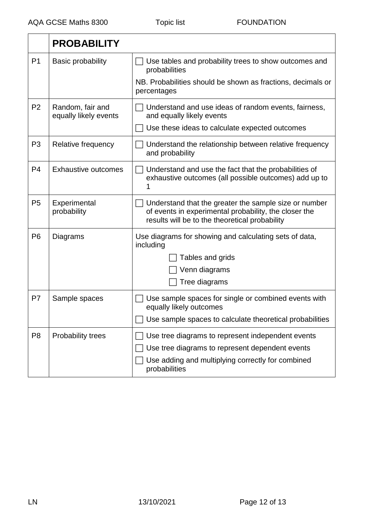|                | <b>PROBABILITY</b>                        |                                                                                                                                                                  |
|----------------|-------------------------------------------|------------------------------------------------------------------------------------------------------------------------------------------------------------------|
| P <sub>1</sub> | <b>Basic probability</b>                  | Use tables and probability trees to show outcomes and<br>probabilities                                                                                           |
|                |                                           | NB. Probabilities should be shown as fractions, decimals or<br>percentages                                                                                       |
| P <sub>2</sub> | Random, fair and<br>equally likely events | Understand and use ideas of random events, fairness,<br>and equally likely events                                                                                |
|                |                                           | Use these ideas to calculate expected outcomes                                                                                                                   |
| P <sub>3</sub> | Relative frequency                        | Understand the relationship between relative frequency<br>and probability                                                                                        |
| P <sub>4</sub> | <b>Exhaustive outcomes</b>                | Understand and use the fact that the probabilities of<br>exhaustive outcomes (all possible outcomes) add up to                                                   |
| P <sub>5</sub> | Experimental<br>probability               | Understand that the greater the sample size or number<br>of events in experimental probability, the closer the<br>results will be to the theoretical probability |
| P <sub>6</sub> | Diagrams                                  | Use diagrams for showing and calculating sets of data,<br>including                                                                                              |
|                |                                           | Tables and grids                                                                                                                                                 |
|                |                                           | Venn diagrams                                                                                                                                                    |
|                |                                           | Tree diagrams                                                                                                                                                    |
| P7             | Sample spaces                             | Use sample spaces for single or combined events with<br>equally likely outcomes                                                                                  |
|                |                                           | Use sample spaces to calculate theoretical probabilities                                                                                                         |
| P <sub>8</sub> | Probability trees                         | Use tree diagrams to represent independent events                                                                                                                |
|                |                                           | Use tree diagrams to represent dependent events                                                                                                                  |
|                |                                           | Use adding and multiplying correctly for combined<br>probabilities                                                                                               |